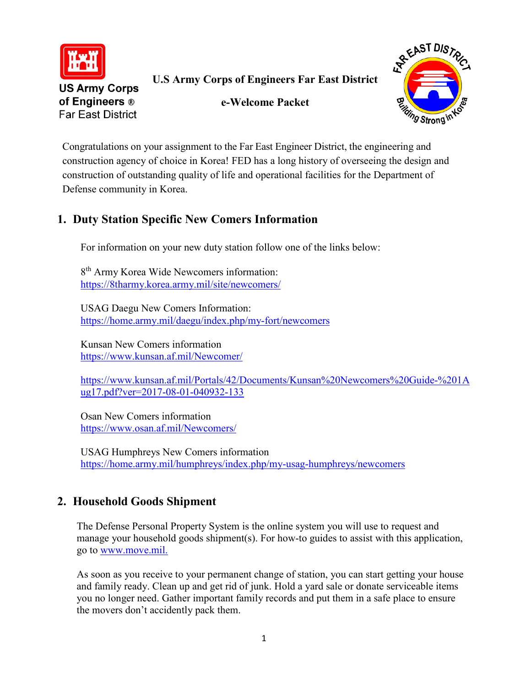

**U.S Army Corps of Engineers Far East District**

**e-Welcome Packet**



**US Army Corps** of Engineers ® **Far East District** 

Congratulations on your assignment to the Far East Engineer District, the engineering and construction agency of choice in Korea! FED has a long history of overseeing the design and construction of outstanding quality of life and operational facilities for the Department of Defense community in Korea.

# **1. Duty Station Specific New Comers Information**

For information on your new duty station follow one of the links below:

8<sup>th</sup> Army Korea Wide Newcomers information: <https://8tharmy.korea.army.mil/site/newcomers/>

USAG Daegu New Comers Information: <https://home.army.mil/daegu/index.php/my-fort/newcomers>

Kunsan New Comers information <https://www.kunsan.af.mil/Newcomer/>

[https://www.kunsan.af.mil/Portals/42/Documents/Kunsan%20Newcomers%20Guide-%201A](https://www.kunsan.af.mil/Portals/42/Documents/Kunsan%20Newcomers%20Guide-%201Aug17.pdf?ver=2017-08-01-040932-133) [ug17.pdf?ver=2017-08-01-040932-133](https://www.kunsan.af.mil/Portals/42/Documents/Kunsan%20Newcomers%20Guide-%201Aug17.pdf?ver=2017-08-01-040932-133)

Osan New Comers information <https://www.osan.af.mil/Newcomers/>

USAG Humphreys New Comers information <https://home.army.mil/humphreys/index.php/my-usag-humphreys/newcomers>

# **2. Household Goods Shipment**

The Defense Personal Property System is the online system you will use to request and manage your household goods shipment(s). For how-to guides to assist with this application, go to [www.move.mil.](https://www.move.mil/)

As soon as you receive to your permanent change of station, you can start getting your house and family ready. Clean up and get rid of junk. Hold a yard sale or donate serviceable items you no longer need. Gather important family records and put them in a safe place to ensure the movers don't accidently pack them.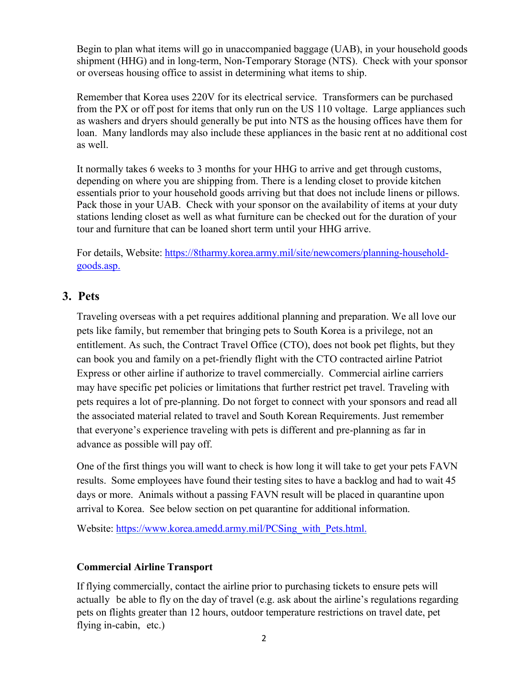Begin to plan what items will go in unaccompanied baggage (UAB), in your household goods shipment (HHG) and in long-term, Non-Temporary Storage (NTS). Check with your sponsor or overseas housing office to assist in determining what items to ship.

Remember that Korea uses 220V for its electrical service. Transformers can be purchased from the PX or off post for items that only run on the US 110 voltage. Large appliances such as washers and dryers should generally be put into NTS as the housing offices have them for loan. Many landlords may also include these appliances in the basic rent at no additional cost as well.

It normally takes 6 weeks to 3 months for your HHG to arrive and get through customs, depending on where you are shipping from. There is a lending closet to provide kitchen essentials prior to your household goods arriving but that does not include linens or pillows. Pack those in your UAB. Check with your sponsor on the availability of items at your duty stations lending closet as well as what furniture can be checked out for the duration of your tour and furniture that can be loaned short term until your HHG arrive.

For details, Website: [https://8tharmy.korea.army.mil/site/newcomers/planning-household](https://8tharmy.korea.army.mil/site/newcomers/planning-household-goods.asp)[goods.asp.](https://8tharmy.korea.army.mil/site/newcomers/planning-household-goods.asp)

## **3. Pets**

Traveling overseas with a pet requires additional planning and preparation. We all love our pets like family, but remember that bringing pets to South Korea is a privilege, not an entitlement. As such, the Contract Travel Office (CTO), does not book pet flights, but they can book you and family on a pet-friendly flight with the CTO contracted airline Patriot Express or other airline if authorize to travel commercially. Commercial airline carriers may have specific pet policies or limitations that further restrict pet travel. Traveling with pets requires a lot of pre-planning. Do not forget to connect with your sponsors and read all the associated material related to travel and South Korean Requirements. Just remember that everyone's experience traveling with pets is different and pre-planning as far in advance as possible will pay off.

One of the first things you will want to check is how long it will take to get your pets FAVN results. Some employees have found their testing sites to have a backlog and had to wait 45 days or more. Animals without a passing FAVN result will be placed in quarantine upon arrival to Korea. See below section on pet quarantine for additional information.

Website: [https://www.korea.amedd.army.mil/PCSing\\_with\\_Pets.html.](https://www.korea.amedd.army.mil/PCSing_with_Pets.html)

### **Commercial Airline Transport**

If flying commercially, contact the airline prior to purchasing tickets to ensure pets will actually be able to fly on the day of travel (e.g. ask about the airline's regulations regarding pets on flights greater than 12 hours, outdoor temperature restrictions on travel date, pet flying in-cabin, etc.)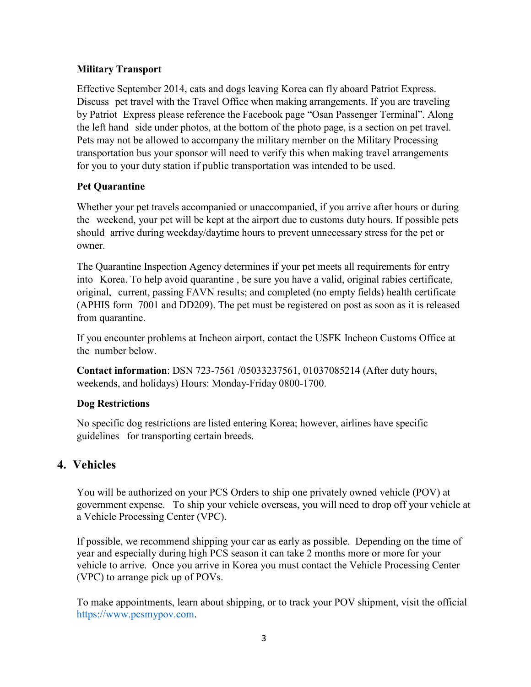## **Military Transport**

Effective September 2014, cats and dogs leaving Korea can fly aboard Patriot Express. Discuss pet travel with the Travel Office when making arrangements. If you are traveling by Patriot Express please reference the Facebook page "Osan Passenger Terminal". Along the left hand side under photos, at the bottom of the photo page, is a section on pet travel. Pets may not be allowed to accompany the military member on the Military Processing transportation bus your sponsor will need to verify this when making travel arrangements for you to your duty station if public transportation was intended to be used.

## **Pet Quarantine**

Whether your pet travels accompanied or unaccompanied, if you arrive after hours or during the weekend, your pet will be kept at the airport due to customs duty hours. If possible pets should arrive during weekday/daytime hours to prevent unnecessary stress for the pet or owner.

The Quarantine Inspection Agency determines if your pet meets all requirements for entry into Korea. To help avoid quarantine , be sure you have a valid, original rabies certificate, original, current, passing FAVN results; and completed (no empty fields) health certificate (APHIS form 7001 and DD209). The pet must be registered on post as soon as it is released from quarantine.

If you encounter problems at Incheon airport, contact the USFK Incheon Customs Office at the number below.

**Contact information**: DSN 723-7561 /05033237561, 01037085214 (After duty hours, weekends, and holidays) Hours: Monday-Friday 0800-1700.

### **Dog Restrictions**

No specific dog restrictions are listed entering Korea; however, airlines have specific guidelines for transporting certain breeds.

## **4. Vehicles**

You will be authorized on your PCS Orders to ship one privately owned vehicle (POV) at government expense. To ship your vehicle overseas, you will need to drop off your vehicle at a Vehicle Processing Center (VPC).

If possible, we recommend shipping your car as early as possible. Depending on the time of year and especially during high PCS season it can take 2 months more or more for your vehicle to arrive. Once you arrive in Korea you must contact the Vehicle Processing Center (VPC) to arrange pick up of POVs.

To make appointments, learn about shipping, or to track your POV shipment, visit the official [https://www.pcsmypov.com.](https://www.pcsmypov.com/)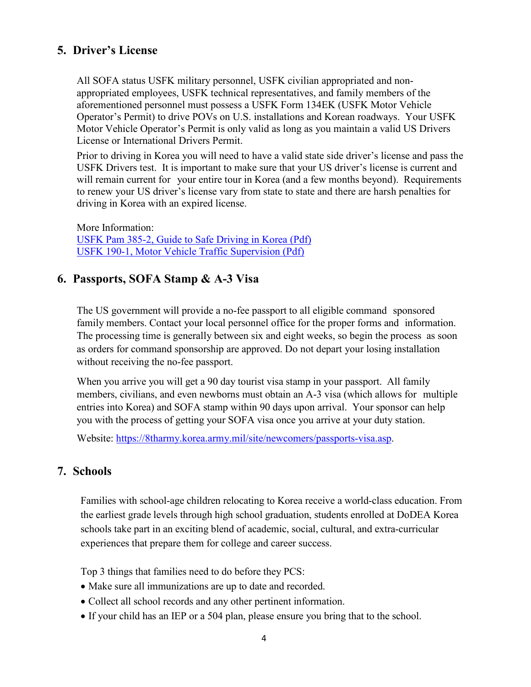## **5. Driver's License**

All SOFA status USFK military personnel, USFK civilian appropriated and nonappropriated employees, USFK technical representatives, and family members of the aforementioned personnel must possess a USFK Form 134EK (USFK Motor Vehicle Operator's Permit) to drive POVs on U.S. installations and Korean roadways. Your USFK Motor Vehicle Operator's Permit is only valid as long as you maintain a valid US Drivers License or International Drivers Permit.

Prior to driving in Korea you will need to have a valid state side driver's license and pass the USFK Drivers test. It is important to make sure that your US driver's license is current and will remain current for your entire tour in Korea (and a few months beyond). Requirements to renew your US driver's license vary from state to state and there are harsh penalties for driving in Korea with an expired license.

More Information: [USFK Pam 385-2, Guide to Safe Driving in Korea \(Pdf\)](https://8tharmy.korea.army.mil/site/assets/doc/newcomers/USFK-Pam-385-2.pdf) [USFK 190-1, Motor Vehicle Traffic Supervision \(Pdf\)](https://8tharmy.korea.army.mil/site/assets/doc/newcomers/USFK-Reg-190-1-Motor-Vehicle-Traffic-Supervision1.pdf)

## **6. Passports, SOFA Stamp & A-3 Visa**

The US government will provide a no-fee passport to all eligible command sponsored family members. Contact your local personnel office for the proper forms and information. The processing time is generally between six and eight weeks, so begin the process as soon as orders for command sponsorship are approved. Do not depart your losing installation without receiving the no-fee passport.

When you arrive you will get a 90 day tourist visa stamp in your passport. All family members, civilians, and even newborns must obtain an A-3 visa (which allows for multiple entries into Korea) and SOFA stamp within 90 days upon arrival. Your sponsor can help you with the process of getting your SOFA visa once you arrive at your duty station.

Website: [https://8tharmy.korea.army.mil/site/newcomers/passports-visa.asp.](https://8tharmy.korea.army.mil/site/newcomers/passports-visa.asp)

## **7. Schools**

Families with school-age children relocating to Korea receive a world-class education. From the earliest grade levels through high school graduation, students enrolled at DoDEA Korea schools take part in an exciting blend of academic, social, cultural, and extra-curricular experiences that prepare them for college and career success.

Top 3 things that families need to do before they PCS:

- Make sure all immunizations are up to date and recorded.
- Collect all school records and any other pertinent information.
- If your child has an IEP or a 504 plan, please ensure you bring that to the school.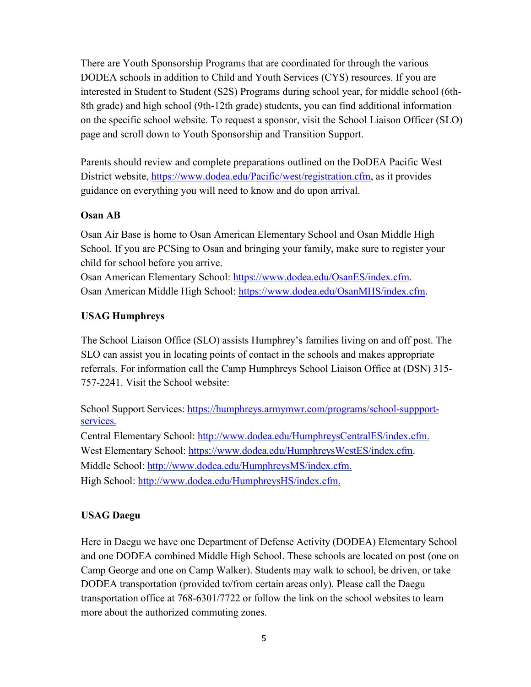There are Youth Sponsorship Programs that are coordinated for through the various DODEA schools in addition to Child and Youth Services (CYS) resources. If you are interested in Student to Student (S2S) Programs during school year, for middle school (6th-8th grade) and high school (9th-12th grade) students, you can find additional information on the specific school website. To request a sponsor, visit the School Liaison Officer (SLO) page and scroll down to Youth Sponsorship and Transition Support.

Parents should review and complete preparations outlined on the DoDEA Pacific West District website, [https://www.dodea.edu/Pacific/west/registration.cfm,](https://www.dodea.edu/Pacific/west/registration.cfm) as it provides guidance on everything you will need to know and do upon arrival.

### **Osan AB**

Osan Air Base is home to Osan American Elementary School and Osan Middle High School. If you are PCSing to Osan and bringing your family, make sure to register your child for school before you arrive.

[Osan American Elementary School:](https://www.dodea.edu/OsanES/) [https://www.dodea.edu/OsanES/index.cfm.](https://www.dodea.edu/OsanES/index.cfm) [Osan American Middle High School:](https://www.dodea.edu/OsanMHS/) [https://www.dodea.edu/OsanMHS/index.cfm.](https://www.dodea.edu/OsanMHS/index.cfm)

### **USAG Humphreys**

The School Liaison Office (SLO) assists Humphrey's families living on and off post. The SLO can assist you in locating points of contact in the schools and makes appropriate referrals. For information call the Camp Humphreys School Liaison Office at (DSN) 315- 757-2241. Visit the School website:

School Support Services: [https://humphreys.armymwr.com/programs/school-suppport](https://humphreys.armymwr.com/programs/school-suppport-services)[services.](https://humphreys.armymwr.com/programs/school-suppport-services)

Central Elementary School: [http://www.dodea.edu/HumphreysCentralES/index.cfm.](http://www.dodea.edu/HumphreysCentralES/index.cfm) West Elementary School: [https://www.dodea.edu/HumphreysWestES/index.cfm.](https://www.dodea.edu/HumphreysWestES/index.cfm) Middle School: [http://www.dodea.edu/HumphreysMS/index.cfm.](http://www.dodea.edu/HumphreysMS/index.cfm) High School: [http://www.dodea.edu/HumphreysHS/index.cfm.](http://www.dodea.edu/HumphreysHS/index.cfm)

### **USAG Daegu**

Here in Daegu we have one Department of Defense Activity (DODEA) Elementary School and one DODEA combined Middle High School. These schools are located on post (one on Camp George and one on Camp Walker). Students may walk to school, be driven, or take DODEA transportation (provided to/from certain areas only). Please call the Daegu transportation office at 768-6301/7722 or follow the link on the school websites to learn more about the authorized commuting zones.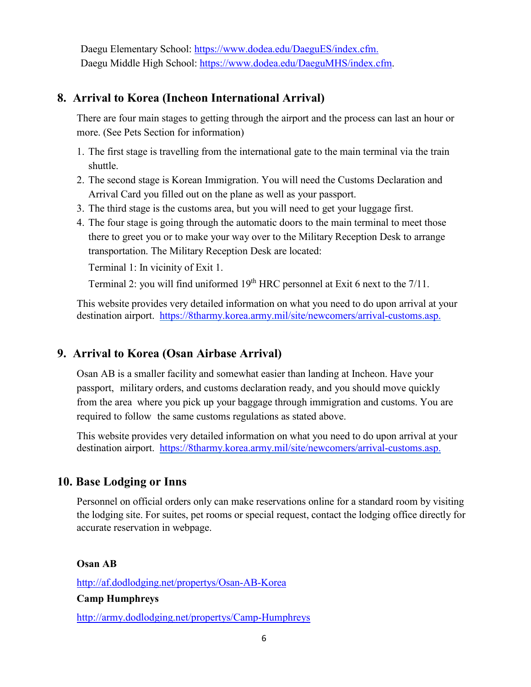Daegu Elementary School: [https://www.dodea.edu/DaeguES/index.cfm.](https://www.dodea.edu/DaeguES/index.cfm) Daegu Middle High School: [https://www.dodea.edu/DaeguMHS/index.cfm.](https://www.dodea.edu/DaeguMHS/index.cfm)

## **8. Arrival to Korea (Incheon International Arrival)**

There are four main stages to getting through the airport and the process can last an hour or more. (See Pets Section for information)

- 1. The first stage is travelling from the international gate to the main terminal via the train shuttle.
- 2. The second stage is Korean Immigration. You will need the Customs Declaration and Arrival Card you filled out on the plane as well as your passport.
- 3. The third stage is the customs area, but you will need to get your luggage first.
- 4. The four stage is going through the automatic doors to the main terminal to meet those there to greet you or to make your way over to the Military Reception Desk to arrange transportation. The Military Reception Desk are located:

Terminal 1: In vicinity of Exit 1.

Terminal 2: you will find uniformed  $19<sup>th</sup> HRC$  personnel at Exit 6 next to the  $7/11$ .

This website provides very detailed information on what you need to do upon arrival at your destination airport. [https://8tharmy.korea.army.mil/site/newcomers/arrival-customs.asp.](https://8tharmy.korea.army.mil/site/newcomers/arrival-customs.asp)

## **9. Arrival to Korea (Osan Airbase Arrival)**

Osan AB is a smaller facility and somewhat easier than landing at Incheon. Have your passport, military orders, and customs declaration ready, and you should move quickly from the area where you pick up your baggage through immigration and customs. You are required to follow the same customs regulations as stated above.

This website provides very detailed information on what you need to do upon arrival at your destination airport. [https://8tharmy.korea.army.mil/site/newcomers/arrival-customs.asp.](https://8tharmy.korea.army.mil/site/newcomers/arrival-customs.asp)

## **10. Base Lodging or Inns**

Personnel on official orders only can make reservations online for a standard room by visiting the lodging site. For suites, pet rooms or special request, contact the lodging office directly for accurate reservation in webpage.

#### **Osan AB**

<http://af.dodlodging.net/propertys/Osan-AB-Korea>

**Camp Humphreys** 

<http://army.dodlodging.net/propertys/Camp-Humphreys>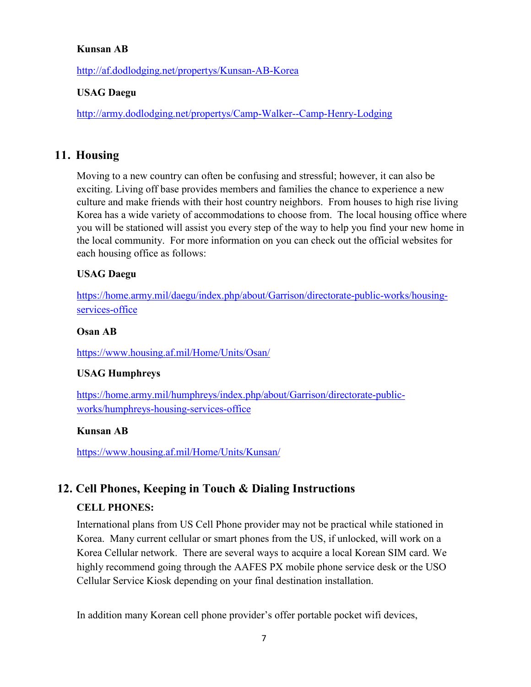#### **Kunsan AB**

<http://af.dodlodging.net/propertys/Kunsan-AB-Korea>

#### **USAG Daegu**

<http://army.dodlodging.net/propertys/Camp-Walker--Camp-Henry-Lodging>

## **11. Housing**

Moving to a new country can often be confusing and stressful; however, it can also be exciting. Living off base provides members and families the chance to experience a new culture and make friends with their host country neighbors. From houses to high rise living Korea has a wide variety of accommodations to choose from. The local housing office where you will be stationed will assist you every step of the way to help you find your new home in the local community. For more information on you can check out the official websites for each housing office as follows:

#### **USAG Daegu**

[https://home.army.mil/daegu/index.php/about/Garrison/directorate-public-works/housing](https://home.army.mil/daegu/index.php/about/Garrison/directorate-public-works/housing-services-office)[services-office](https://home.army.mil/daegu/index.php/about/Garrison/directorate-public-works/housing-services-office)

#### **Osan AB**

<https://www.housing.af.mil/Home/Units/Osan/>

#### **USAG Humphreys**

[https://home.army.mil/humphreys/index.php/about/Garrison/directorate-public](https://home.army.mil/humphreys/index.php/about/Garrison/directorate-public-works/humphreys-housing-services-office)[works/humphreys-housing-services-office](https://home.army.mil/humphreys/index.php/about/Garrison/directorate-public-works/humphreys-housing-services-office)

#### **Kunsan AB**

<https://www.housing.af.mil/Home/Units/Kunsan/>

## **12. Cell Phones, Keeping in Touch & Dialing Instructions**

#### **CELL PHONES:**

International plans from US Cell Phone provider may not be practical while stationed in Korea. Many current cellular or smart phones from the US, if unlocked, will work on a Korea Cellular network. There are several ways to acquire a local Korean SIM card. We highly recommend going through the AAFES PX mobile phone service desk or the USO Cellular Service Kiosk depending on your final destination installation.

In addition many Korean cell phone provider's offer portable pocket wifi devices,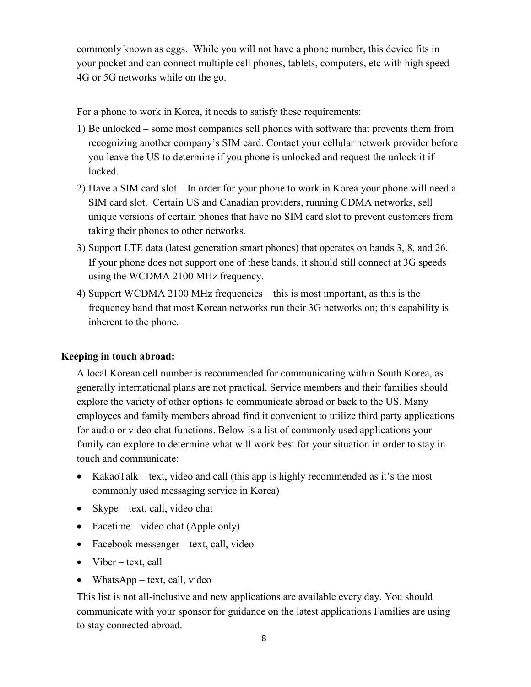commonly known as eggs. While you will not have a phone number, this device fits in your pocket and can connect multiple cell phones, tablets, computers, etc with high speed 4G or 5G networks while on the go.

For a phone to work in Korea, it needs to satisfy these requirements:

- 1) Be unlocked some most companies sell phones with software that prevents them from recognizing another company's SIM card. Contact your cellular network provider before you leave the US to determine if you phone is unlocked and request the unlock it if locked.
- 2) Have a SIM card slot In order for your phone to work in Korea your phone will need a SIM card slot. Certain US and Canadian providers, running CDMA networks, sell unique versions of certain phones that have no SIM card slot to prevent customers from taking their phones to other networks.
- 3) Support LTE data (latest generation smart phones) that operates on bands 3, 8, and 26. If your phone does not support one of these bands, it should still connect at 3G speeds using the WCDMA 2100 MHz frequency.
- 4) Support WCDMA 2100 MHz frequencies this is most important, as this is the frequency band that most Korean networks run their 3G networks on; this capability is inherent to the phone.

#### **Keeping in touch abroad:**

A local Korean cell number is recommended for communicating within South Korea, as generally international plans are not practical. Service members and their families should explore the variety of other options to communicate abroad or back to the US. Many employees and family members abroad find it convenient to utilize third party applications for audio or video chat functions. Below is a list of commonly used applications your family can explore to determine what will work best for your situation in order to stay in touch and communicate:

- KakaoTalk text, video and call (this app is highly recommended as it's the most commonly used messaging service in Korea)
- Skype text, call, video chat
- Facetime video chat (Apple only)
- Facebook messenger text, call, video
- Viber text, call
- WhatsApp text, call, video

This list is not all-inclusive and new applications are available every day. You should communicate with your sponsor for guidance on the latest applications Families are using to stay connected abroad.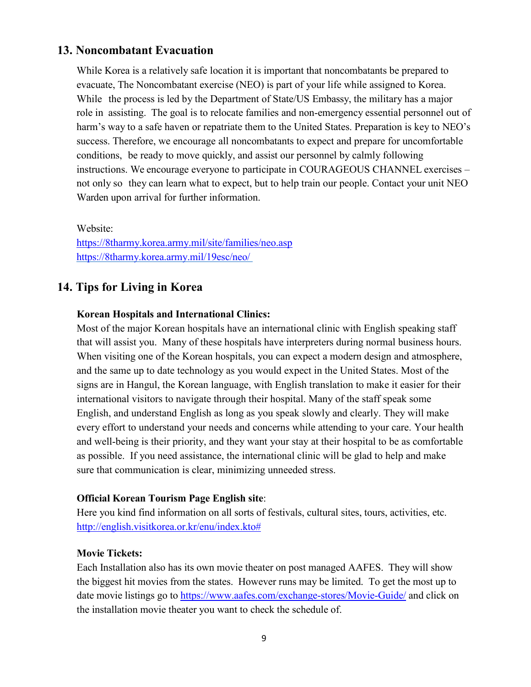## **13. Noncombatant Evacuation**

While Korea is a relatively safe location it is important that noncombatants be prepared to evacuate, The Noncombatant exercise (NEO) is part of your life while assigned to Korea. While the process is led by the Department of State/US Embassy, the military has a major role in assisting. The goal is to relocate families and non-emergency essential personnel out of harm's way to a safe haven or repatriate them to the United States. Preparation is key to NEO's success. Therefore, we encourage all noncombatants to expect and prepare for uncomfortable conditions, be ready to move quickly, and assist our personnel by calmly following instructions. We encourage everyone to participate in COURAGEOUS CHANNEL exercises – not only so they can learn what to expect, but to help train our people. Contact your unit NEO Warden upon arrival for further information.

Website: <https://8tharmy.korea.army.mil/site/families/neo.asp> <https://8tharmy.korea.army.mil/19esc/neo/>

## **14. Tips for Living in Korea**

#### **Korean Hospitals and International Clinics:**

Most of the major Korean hospitals have an international clinic with English speaking staff that will assist you. Many of these hospitals have interpreters during normal business hours. When visiting one of the Korean hospitals, you can expect a modern design and atmosphere, and the same up to date technology as you would expect in the United States. Most of the signs are in Hangul, the Korean language, with English translation to make it easier for their international visitors to navigate through their hospital. Many of the staff speak some English, and understand English as long as you speak slowly and clearly. They will make every effort to understand your needs and concerns while attending to your care. Your health and well-being is their priority, and they want your stay at their hospital to be as comfortable as possible. If you need assistance, the international clinic will be glad to help and make sure that communication is clear, minimizing unneeded stress.

#### **Official Korean Tourism Page English site**:

Here you kind find information on all sorts of festivals, cultural sites, tours, activities, etc. [http://english.visitkorea.or.kr/enu/index.kto#](http://english.visitkorea.or.kr/enu/index.kto)

#### **Movie Tickets:**

Each Installation also has its own movie theater on post managed AAFES. They will show the biggest hit movies from the states. However runs may be limited. To get the most up to date movie listings go to<https://www.aafes.com/exchange-stores/Movie-Guide/> and click on the installation movie theater you want to check the schedule of.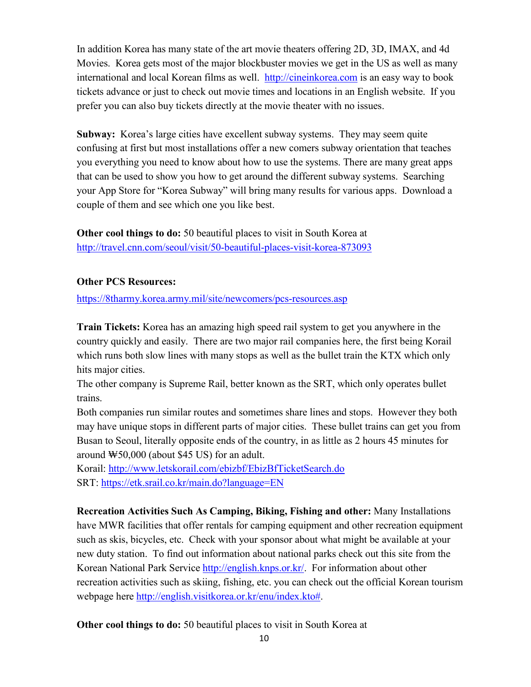In addition Korea has many state of the art movie theaters offering 2D, 3D, IMAX, and 4d Movies. Korea gets most of the major blockbuster movies we get in the US as well as many international and local Korean films as well. [http://cineinkorea.com](http://cineinkorea.com/) is an easy way to book tickets advance or just to check out movie times and locations in an English website. If you prefer you can also buy tickets directly at the movie theater with no issues.

**Subway:** Korea's large cities have excellent subway systems. They may seem quite confusing at first but most installations offer a new comers subway orientation that teaches you everything you need to know about how to use the systems. There are many great apps that can be used to show you how to get around the different subway systems. Searching your App Store for "Korea Subway" will bring many results for various apps. Download a couple of them and see which one you like best.

**Other cool things to do:** 50 beautiful places to visit in South Korea at <http://travel.cnn.com/seoul/visit/50-beautiful-places-visit-korea-873093>

## **Other PCS Resources:**

<https://8tharmy.korea.army.mil/site/newcomers/pcs-resources.asp>

**Train Tickets:** Korea has an amazing high speed rail system to get you anywhere in the country quickly and easily. There are two major rail companies here, the first being Korail which runs both slow lines with many stops as well as the bullet train the KTX which only hits major cities.

The other company is Supreme Rail, better known as the SRT, which only operates bullet trains.

Both companies run similar routes and sometimes share lines and stops. However they both may have unique stops in different parts of major cities. These bullet trains can get you from Busan to Seoul, literally opposite ends of the country, in as little as 2 hours 45 minutes for around ₩50,000 (about \$45 US) for an adult.

Korail:<http://www.letskorail.com/ebizbf/EbizBfTicketSearch.do> SRT: <https://etk.srail.co.kr/main.do?language=EN>

**Recreation Activities Such As Camping, Biking, Fishing and other:** Many Installations have MWR facilities that offer rentals for camping equipment and other recreation equipment such as skis, bicycles, etc. Check with your sponsor about what might be available at your new duty station. To find out information about national parks check out this site from the Korean National Park Service [http://english.knps.or.kr/.](http://english.knps.or.kr/) For information about other recreation activities such as skiing, fishing, etc. you can check out the official Korean tourism webpage here [http://english.visitkorea.or.kr/enu/index.kto#.](http://english.visitkorea.or.kr/enu/index.kto)

**Other cool things to do:** 50 beautiful places to visit in South Korea at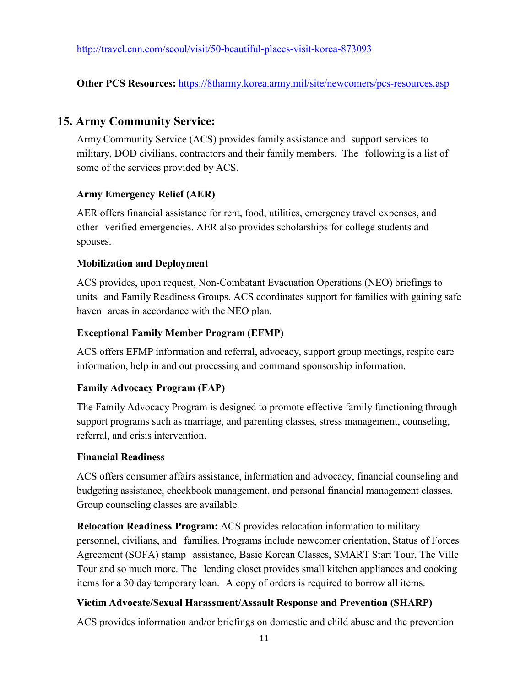**Other PCS Resources:** <https://8tharmy.korea.army.mil/site/newcomers/pcs-resources.asp>

## **15. Army Community Service:**

Army Community Service (ACS) provides family assistance and support services to military, DOD civilians, contractors and their family members. The following is a list of some of the services provided by ACS.

### **Army Emergency Relief (AER)**

AER offers financial assistance for rent, food, utilities, emergency travel expenses, and other verified emergencies. AER also provides scholarships for college students and spouses.

#### **Mobilization and Deployment**

ACS provides, upon request, Non-Combatant Evacuation Operations (NEO) briefings to units and Family Readiness Groups. ACS coordinates support for families with gaining safe haven areas in accordance with the NEO plan.

### **Exceptional Family Member Program (EFMP)**

ACS offers EFMP information and referral, advocacy, support group meetings, respite care information, help in and out processing and command sponsorship information.

### **Family Advocacy Program (FAP)**

The Family Advocacy Program is designed to promote effective family functioning through support programs such as marriage, and parenting classes, stress management, counseling, referral, and crisis intervention.

### **Financial Readiness**

ACS offers consumer affairs assistance, information and advocacy, financial counseling and budgeting assistance, checkbook management, and personal financial management classes. Group counseling classes are available.

**Relocation Readiness Program:** ACS provides relocation information to military personnel, civilians, and families. Programs include newcomer orientation, Status of Forces Agreement (SOFA) stamp assistance, Basic Korean Classes, SMART Start Tour, The Ville Tour and so much more. The lending closet provides small kitchen appliances and cooking items for a 30 day temporary loan. A copy of orders is required to borrow all items.

### **Victim Advocate/Sexual Harassment/Assault Response and Prevention (SHARP)**

ACS provides information and/or briefings on domestic and child abuse and the prevention